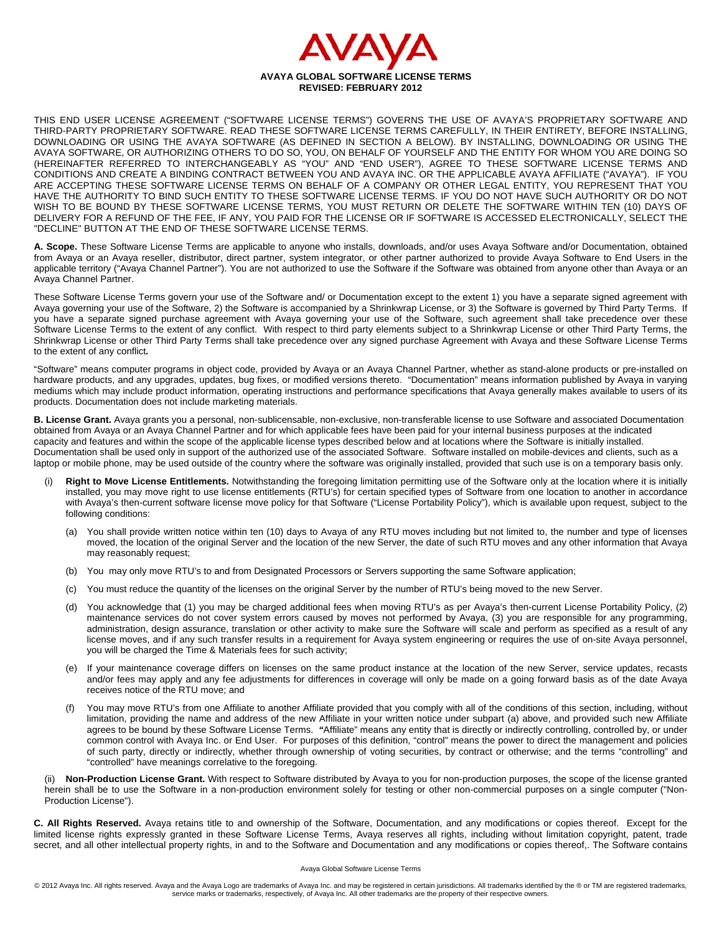

THIS END USER LICENSE AGREEMENT ("SOFTWARE LICENSE TERMS") GOVERNS THE USE OF AVAYA'S PROPRIETARY SOFTWARE AND THIRD-PARTY PROPRIETARY SOFTWARE. READ THESE SOFTWARE LICENSE TERMS CAREFULLY, IN THEIR ENTIRETY, BEFORE INSTALLING, DOWNLOADING OR USING THE AVAYA SOFTWARE (AS DEFINED IN SECTION A BELOW). BY INSTALLING, DOWNLOADING OR USING THE AVAYA SOFTWARE, OR AUTHORIZING OTHERS TO DO SO, YOU, ON BEHALF OF YOURSELF AND THE ENTITY FOR WHOM YOU ARE DOING SO (HEREINAFTER REFERRED TO INTERCHANGEABLY AS "YOU" AND "END USER"), AGREE TO THESE SOFTWARE LICENSE TERMS AND CONDITIONS AND CREATE A BINDING CONTRACT BETWEEN YOU AND AVAYA INC. OR THE APPLICABLE AVAYA AFFILIATE ("AVAYA"). IF YOU ARE ACCEPTING THESE SOFTWARE LICENSE TERMS ON BEHALF OF A COMPANY OR OTHER LEGAL ENTITY, YOU REPRESENT THAT YOU HAVE THE AUTHORITY TO BIND SUCH ENTITY TO THESE SOFTWARE LICENSE TERMS. IF YOU DO NOT HAVE SUCH AUTHORITY OR DO NOT WISH TO BE BOUND BY THESE SOFTWARE LICENSE TERMS, YOU MUST RETURN OR DELETE THE SOFTWARE WITHIN TEN (10) DAYS OF DELIVERY FOR A REFUND OF THE FEE, IF ANY, YOU PAID FOR THE LICENSE OR IF SOFTWARE IS ACCESSED ELECTRONICALLY, SELECT THE "DECLINE" BUTTON AT THE END OF THESE SOFTWARE LICENSE TERMS.

**A. Scope.** These Software License Terms are applicable to anyone who installs, downloads, and/or uses Avaya Software and/or Documentation, obtained from Avaya or an Avaya reseller, distributor, direct partner, system integrator, or other partner authorized to provide Avaya Software to End Users in the applicable territory ("Avaya Channel Partner"). You are not authorized to use the Software if the Software was obtained from anyone other than Avaya or an Avaya Channel Partner.

These Software License Terms govern your use of the Software and/ or Documentation except to the extent 1) you have a separate signed agreement with Avaya governing your use of the Software, 2) the Software is accompanied by a Shrinkwrap License, or 3) the Software is governed by Third Party Terms. If you have a separate signed purchase agreement with Avaya governing your use of the Software, such agreement shall take precedence over these Software License Terms to the extent of any conflict. With respect to third party elements subject to a Shrinkwrap License or other Third Party Terms, the Shrinkwrap License or other Third Party Terms shall take precedence over any signed purchase Agreement with Avaya and these Software License Terms to the extent of any conflict*.* 

"Software" means computer programs in object code, provided by Avaya or an Avaya Channel Partner, whether as stand-alone products or pre-installed on hardware products, and any upgrades, updates, bug fixes, or modified versions thereto."Documentation" means information published by Avaya in varying mediums which may include product information, operating instructions and performance specifications that Avaya generally makes available to users of its products. Documentation does not include marketing materials.

**B. License Grant.** Avaya grants you a personal, non-sublicensable, non-exclusive, non-transferable license to use Software and associated Documentation obtained from Avaya or an Avaya Channel Partner and for which applicable fees have been paid for your internal business purposes at the indicated capacity and features and within the scope of the applicable license types described below and at locations where the Software is initially installed. Documentation shall be used only in support of the authorized use of the associated Software. Software installed on mobile-devices and clients, such as a laptop or mobile phone, may be used outside of the country where the software was originally installed, provided that such use is on a temporary basis only.

- Right to Move License Entitlements. Notwithstanding the foregoing limitation permitting use of the Software only at the location where it is initially installed, you may move right to use license entitlements (RTU's) for certain specified types of Software from one location to another in accordance with Avaya's then-current software license move policy for that Software ("License Portability Policy"), which is available upon request, subject to the following conditions:
	- (a) You shall provide written notice within ten (10) days to Avaya of any RTU moves including but not limited to, the number and type of licenses moved, the location of the original Server and the location of the new Server, the date of such RTU moves and any other information that Avaya may reasonably request;
	- (b) You may only move RTU's to and from Designated Processors or Servers supporting the same Software application;
	- (c) You must reduce the quantity of the licenses on the original Server by the number of RTU's being moved to the new Server.
	- (d) You acknowledge that (1) you may be charged additional fees when moving RTU's as per Avaya's then-current License Portability Policy, (2) maintenance services do not cover system errors caused by moves not performed by Avaya, (3) you are responsible for any programming, administration, design assurance, translation or other activity to make sure the Software will scale and perform as specified as a result of any license moves, and if any such transfer results in a requirement for Avaya system engineering or requires the use of on-site Avaya personnel, you will be charged the Time & Materials fees for such activity;
	- (e) If your maintenance coverage differs on licenses on the same product instance at the location of the new Server, service updates, recasts and/or fees may apply and any fee adjustments for differences in coverage will only be made on a going forward basis as of the date Avaya receives notice of the RTU move; and
	- (f) You may move RTU's from one Affiliate to another Affiliate provided that you comply with all of the conditions of this section, including, without limitation, providing the name and address of the new Affiliate in your written notice under subpart (a) above, and provided such new Affiliate agrees to be bound by these Software License Terms. *"*Affiliate" means any entity that is directly or indirectly controlling, controlled by, or under common control with Avaya Inc. or End User. For purposes of this definition, "control" means the power to direct the management and policies of such party, directly or indirectly, whether through ownership of voting securities, by contract or otherwise; and the terms "controlling" and "controlled" have meanings correlative to the foregoing.

(ii) **Non-Production License Grant.** With respect to Software distributed by Avaya to you for non-production purposes, the scope of the license granted herein shall be to use the Software in a non-production environment solely for testing or other non-commercial purposes on a single computer ("Non-Production License").

**C. All Rights Reserved.** Avaya retains title to and ownership of the Software, Documentation, and any modifications or copies thereof. Except for the limited license rights expressly granted in these Software License Terms, Avaya reserves all rights, including without limitation copyright, patent, trade secret, and all other intellectual property rights, in and to the Software and Documentation and any modifications or copies thereof. The Software contains

## Avaya Global Software License Terms

© 2012 Avaya Inc. All rights reserved. Avaya and the Avaya Logo are trademarks of Avaya Inc. and may be registered in certain jurisdictions. All trademarks identified by the ® or TM are registered trademarks, service marks or trademarks, respectively, of Avaya Inc. All other trademarks are the property of their respective owners.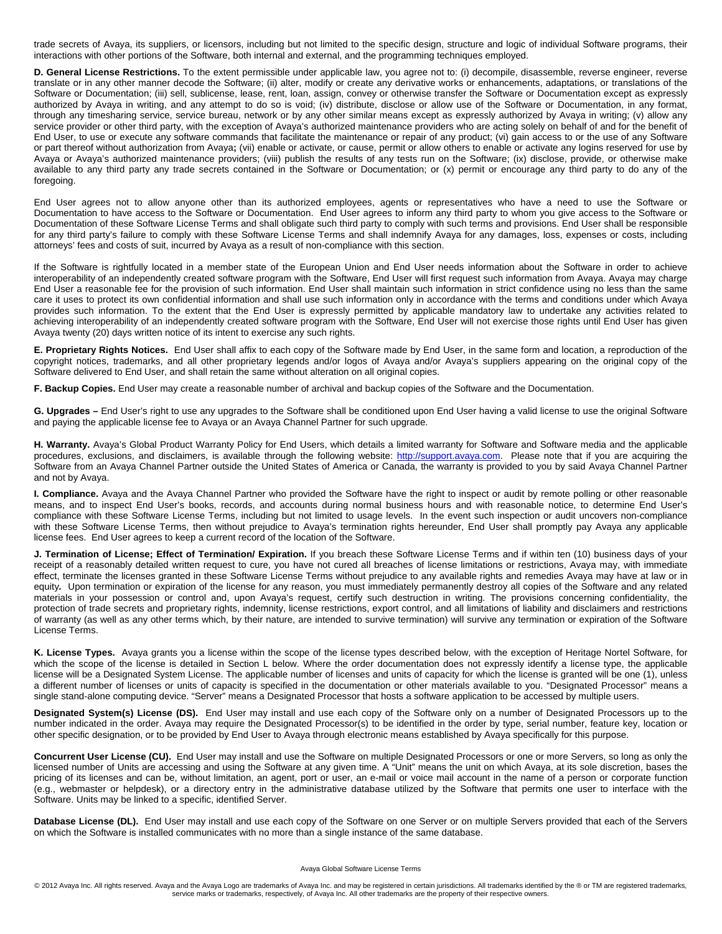trade secrets of Avaya, its suppliers, or licensors, including but not limited to the specific design, structure and logic of individual Software programs, their interactions with other portions of the Software, both internal and external, and the programming techniques employed.

**D. General License Restrictions.** To the extent permissible under applicable law, you agree not to: (i) decompile, disassemble, reverse engineer, reverse translate or in any other manner decode the Software; (ii) alter, modify or create any derivative works or enhancements, adaptations, or translations of the Software or Documentation; (iii) sell, sublicense, lease, rent, loan, assign, convey or otherwise transfer the Software or Documentation except as expressly authorized by Avaya in writing, and any attempt to do so is void; (iv) distribute, disclose or allow use of the Software or Documentation, in any format, through any timesharing service, service bureau, network or by any other similar means except as expressly authorized by Avaya in writing; (v) allow any service provider or other third party, with the exception of Avaya's authorized maintenance providers who are acting solely on behalf of and for the benefit of End User, to use or execute any software commands that facilitate the maintenance or repair of any product; (vi) gain access to or the use of any Software or part thereof without authorization from Avaya**;** (vii) enable or activate, or cause, permit or allow others to enable or activate any logins reserved for use by Avaya or Avaya's authorized maintenance providers; (viii) publish the results of any tests run on the Software; (ix) disclose, provide, or otherwise make available to any third party any trade secrets contained in the Software or Documentation; or (x) permit or encourage any third party to do any of the foregoing.

End User agrees not to allow anyone other than its authorized employees, agents or representatives who have a need to use the Software or Documentation to have access to the Software or Documentation. End User agrees to inform any third party to whom you give access to the Software or Documentation of these Software License Terms and shall obligate such third party to comply with such terms and provisions. End User shall be responsible for any third party's failure to comply with these Software License Terms and shall indemnify Avaya for any damages, loss, expenses or costs, including attorneys' fees and costs of suit, incurred by Avaya as a result of non-compliance with this section.

If the Software is rightfully located in a member state of the European Union and End User needs information about the Software in order to achieve interoperability of an independently created software program with the Software, End User will first request such information from Avaya. Avaya may charge End User a reasonable fee for the provision of such information. End User shall maintain such information in strict confidence using no less than the same care it uses to protect its own confidential information and shall use such information only in accordance with the terms and conditions under which Avaya provides such information. To the extent that the End User is expressly permitted by applicable mandatory law to undertake any activities related to achieving interoperability of an independently created software program with the Software, End User will not exercise those rights until End User has given Avaya twenty (20) days written notice of its intent to exercise any such rights.

**E. Proprietary Rights Notices.** End User shall affix to each copy of the Software made by End User, in the same form and location, a reproduction of the copyright notices, trademarks, and all other proprietary legends and/or logos of Avaya and/or Avaya's suppliers appearing on the original copy of the Software delivered to End User, and shall retain the same without alteration on all original copies.

**F. Backup Copies.** End User may create a reasonable number of archival and backup copies of the Software and the Documentation.

**G. Upgrades –** End User's right to use any upgrades to the Software shall be conditioned upon End User having a valid license to use the original Software and paying the applicable license fee to Avaya or an Avaya Channel Partner for such upgrade.

**H. Warranty.** Avaya's Global Product Warranty Policy for End Users, which details a limited warranty for Software and Software media and the applicable procedures, exclusions, and disclaimers, is available through the following website: [http://support.avaya.com](http://support.avaya.com/). Please note that if you are acquiring the Software from an Avaya Channel Partner outside the United States of America or Canada, the warranty is provided to you by said Avaya Channel Partner and not by Avaya.

**I. Compliance.** Avaya and the Avaya Channel Partner who provided the Software have the right to inspect or audit by remote polling or other reasonable means, and to inspect End User's books, records, and accounts during normal business hours and with reasonable notice, to determine End User's compliance with these Software License Terms, including but not limited to usage levels. In the event such inspection or audit uncovers non-compliance with these Software License Terms, then without prejudice to Avaya's termination rights hereunder, End User shall promptly pay Avaya any applicable license fees. End User agrees to keep a current record of the location of the Software.

**J. Termination of License; Effect of Termination/ Expiration.** If you breach these Software License Terms and if within ten (10) business days of your receipt of a reasonably detailed written request to cure, you have not cured all breaches of license limitations or restrictions, Avaya may, with immediate effect, terminate the licenses granted in these Software License Terms without prejudice to any available rights and remedies Avaya may have at law or in equity*.* Upon termination or expiration of the license for any reason, you must immediately permanently destroy all copies of the Software and any related materials in your possession or control and, upon Avaya's request, certify such destruction in writing. The provisions concerning confidentiality, the protection of trade secrets and proprietary rights, indemnity, license restrictions, export control, and all limitations of liability and disclaimers and restrictions of warranty (as well as any other terms which, by their nature, are intended to survive termination) will survive any termination or expiration of the Software License Terms.

**K. License Types.** Avaya grants you a license within the scope of the license types described below, with the exception of Heritage Nortel Software, for which the scope of the license is detailed in Section L below. Where the order documentation does not expressly identify a license type, the applicable license will be a Designated System License. The applicable number of licenses and units of capacity for which the license is granted will be one (1), unless a different number of licenses or units of capacity is specified in the documentation or other materials available to you. "Designated Processor" means a single stand-alone computing device. "Server" means a Designated Processor that hosts a software application to be accessed by multiple users.

Designated System(s) License (DS). End User may install and use each copy of the Software only on a number of Designated Processors up to the number indicated in the order. Avaya may require the Designated Processor(s) to be identified in the order by type, serial number, feature key, location or other specific designation, or to be provided by End User to Avaya through electronic means established by Avaya specifically for this purpose.

**Concurrent User License (CU).** End User may install and use the Software on multiple Designated Processors or one or more Servers, so long as only the licensed number of Units are accessing and using the Software at any given time. A "Unit" means the unit on which Avaya, at its sole discretion, bases the pricing of its licenses and can be, without limitation, an agent, port or user, an e-mail or voice mail account in the name of a person or corporate function (e.g., webmaster or helpdesk), or a directory entry in the administrative database utilized by the Software that permits one user to interface with the Software. Units may be linked to a specific, identified Server.

Database License (DL). End User may install and use each copy of the Software on one Server or on multiple Servers provided that each of the Servers on which the Software is installed communicates with no more than a single instance of the same database.

## Avaya Global Software License Terms

© 2012 Avaya Inc. All rights reserved. Avaya and the Avaya Logo are trademarks of Avaya Inc. and may be registered in certain jurisdictions. All trademarks identified by the ® or TM are registered trademarks, service marks or trademarks, respectively, of Avaya Inc. All other trademarks are the property of their respective owners.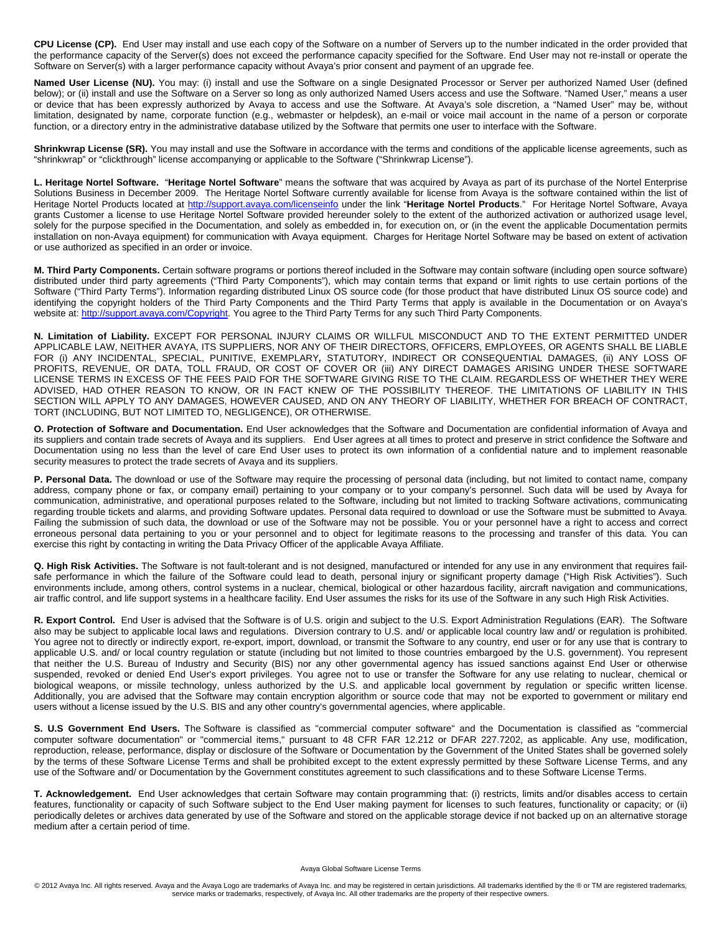**CPU License (CP).** End User may install and use each copy of the Software on a number of Servers up to the number indicated in the order provided that the performance capacity of the Server(s) does not exceed the performance capacity specified for the Software. End User may not re-install or operate the Software on Server(s) with a larger performance capacity without Avaya's prior consent and payment of an upgrade fee.

Named User License (NU). You may: (i) install and use the Software on a single Designated Processor or Server per authorized Named User (defined below); or (ii) install and use the Software on a Server so long as only authorized Named Users access and use the Software. "Named User," means a user or device that has been expressly authorized by Avaya to access and use the Software. At Avaya's sole discretion, a "Named User" may be, without limitation, designated by name, corporate function (e.g., webmaster or helpdesk), an e-mail or voice mail account in the name of a person or corporate function, or a directory entry in the administrative database utilized by the Software that permits one user to interface with the Software.

**Shrinkwrap License (SR).** You may install and use the Software in accordance with the terms and conditions of the applicable license agreements, such as "shrinkwrap" or "clickthrough" license accompanying or applicable to the Software ("Shrinkwrap License").

**L. Heritage Nortel Software.** "**Heritage Nortel Software**" means the software that was acquired by Avaya as part of its purchase of the Nortel Enterprise Solutions Business in December 2009. The Heritage Nortel Software currently available for license from Avaya is the software contained within the list of Heritage Nortel Products located at [http://support.avaya.com/licenseinfo](http://support.avaya.com/LicenseInfo) under the link "**Heritage Nortel Products**." For Heritage Nortel Software, Avaya grants Customer a license to use Heritage Nortel Software provided hereunder solely to the extent of the authorized activation or authorized usage level, solely for the purpose specified in the Documentation, and solely as embedded in, for execution on, or (in the event the applicable Documentation permits installation on non-Avaya equipment) for communication with Avaya equipment. Charges for Heritage Nortel Software may be based on extent of activation or use authorized as specified in an order or invoice.

**M. Third Party Components.** Certain software programs or portions thereof included in the Software may contain software (including open source software) distributed under third party agreements ("Third Party Components"), which may contain terms that expand or limit rights to use certain portions of the Software ("Third Party Terms"). Information regarding distributed Linux OS source code (for those product that have distributed Linux OS source code) and identifying the copyright holders of the Third Party Components and the Third Party Terms that apply is available in the Documentation or on Avaya's website at:<http://support.avaya.com/Copyright>. You agree to the Third Party Terms for any such Third Party Components.

**N. Limitation of Liability.** EXCEPT FOR PERSONAL INJURY CLAIMS OR WILLFUL MISCONDUCT AND TO THE EXTENT PERMITTED UNDER APPLICABLE LAW, NEITHER AVAYA, ITS SUPPLIERS, NOR ANY OF THEIR DIRECTORS, OFFICERS, EMPLOYEES, OR AGENTS SHALL BE LIABLE FOR (i) ANY INCIDENTAL, SPECIAL, PUNITIVE, EXEMPLARY*,* STATUTORY, INDIRECT OR CONSEQUENTIAL DAMAGES, (ii) ANY LOSS OF PROFITS, REVENUE, OR DATA, TOLL FRAUD, OR COST OF COVER OR (iii) ANY DIRECT DAMAGES ARISING UNDER THESE SOFTWARE LICENSE TERMS IN EXCESS OF THE FEES PAID FOR THE SOFTWARE GIVING RISE TO THE CLAIM. REGARDLESS OF WHETHER THEY WERE ADVISED, HAD OTHER REASON TO KNOW, OR IN FACT KNEW OF THE POSSIBILITY THEREOF. THE LIMITATIONS OF LIABILITY IN THIS SECTION WILL APPLY TO ANY DAMAGES, HOWEVER CAUSED, AND ON ANY THEORY OF LIABILITY, WHETHER FOR BREACH OF CONTRACT, TORT (INCLUDING, BUT NOT LIMITED TO, NEGLIGENCE), OR OTHERWISE.

**O. Protection of Software and Documentation.** End User acknowledges that the Software and Documentation are confidential information of Avaya and its suppliers and contain trade secrets of Avaya and its suppliers. End User agrees at all times to protect and preserve in strict confidence the Software and Documentation using no less than the level of care End User uses to protect its own information of a confidential nature and to implement reasonable security measures to protect the trade secrets of Avaya and its suppliers.

**P. Personal Data.** The download or use of the Software may require the processing of personal data (including, but not limited to contact name, company address, company phone or fax, or company email) pertaining to your company or to your company's personnel. Such data will be used by Avaya for communication, administrative, and operational purposes related to the Software, including but not limited to tracking Software activations, communicating regarding trouble tickets and alarms, and providing Software updates. Personal data required to download or use the Software must be submitted to Avaya. Failing the submission of such data, the download or use of the Software may not be possible. You or your personnel have a right to access and correct erroneous personal data pertaining to you or your personnel and to object for legitimate reasons to the processing and transfer of this data. You can exercise this right by contacting in writing the Data Privacy Officer of the applicable Avaya Affiliate.

**Q. High Risk Activities.** The Software is not fault-tolerant and is not designed, manufactured or intended for any use in any environment that requires failsafe performance in which the failure of the Software could lead to death, personal injury or significant property damage ("High Risk Activities"). Such environments include, among others, control systems in a nuclear, chemical, biological or other hazardous facility, aircraft navigation and communications, air traffic control, and life support systems in a healthcare facility. End User assumes the risks for its use of the Software in any such High Risk Activities.

**R. Export Control.** End User is advised that the Software is of U.S. origin and subject to the U.S. Export Administration Regulations (EAR). The Software also may be subject to applicable local laws and regulations. Diversion contrary to U.S. and/ or applicable local country law and/ or regulation is prohibited. You agree not to directly or indirectly export, re-export, import, download, or transmit the Software to any country, end user or for any use that is contrary to applicable U.S. and/ or local country regulation or statute (including but not limited to those countries embargoed by the U.S. government). You represent that neither the U.S. Bureau of Industry and Security (BIS) nor any other governmental agency has issued sanctions against End User or otherwise suspended, revoked or denied End User's export privileges. You agree not to use or transfer the Software for any use relating to nuclear, chemical or biological weapons, or missile technology, unless authorized by the U.S. and applicable local government by regulation or specific written license. Additionally, you are advised that the Software may contain encryption algorithm or source code that may not be exported to government or military end users without a license issued by the U.S. BIS and any other country's governmental agencies, where applicable.

**S. U.S Government End Users.** The Software is classified as "commercial computer software" and the Documentation is classified as "commercial computer software documentation" or "commercial items," pursuant to 48 CFR FAR 12.212 or DFAR 227.7202, as applicable. Any use, modification, reproduction, release, performance, display or disclosure of the Software or Documentation by the Government of the United States shall be governed solely by the terms of these Software License Terms and shall be prohibited except to the extent expressly permitted by these Software License Terms, and any use of the Software and/ or Documentation by the Government constitutes agreement to such classifications and to these Software License Terms.

**T. Acknowledgement.** End User acknowledges that certain Software may contain programming that: (i) restricts, limits and/or disables access to certain features, functionality or capacity of such Software subject to the End User making payment for licenses to such features, functionality or capacity; or (ii) periodically deletes or archives data generated by use of the Software and stored on the applicable storage device if not backed up on an alternative storage medium after a certain period of time.

## Avaya Global Software License Terms

© 2012 Avaya Inc. All rights reserved. Avaya and the Avaya Logo are trademarks of Avaya Inc. and may be registered in certain jurisdictions. All trademarks identified by the ® or TM are registered trademarks, service marks or trademarks, respectively, of Avaya Inc. All other trademarks are the property of their respective owners.